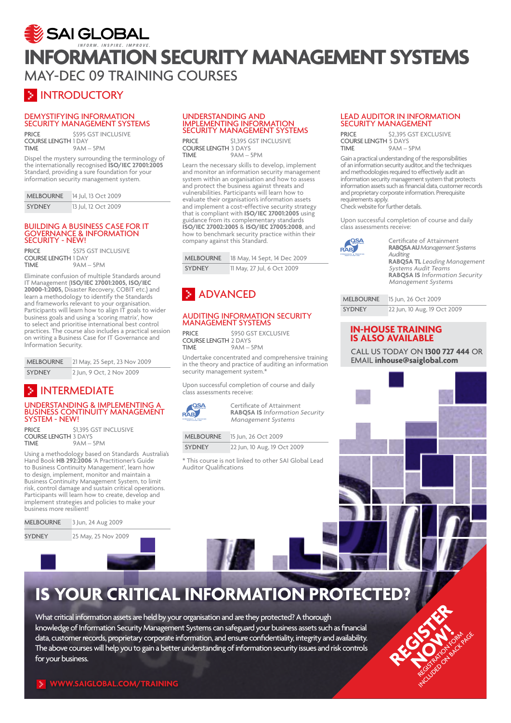## SAI GLOBAL **information security management systems** May-DEC 09 training courses

### **E INTRODUCTORY**

### Demystifying Information Security Management Systems

PRICE \$595 GST INCLUSIVE COURSE LENGTH 1 DAY  $9AM - 5PM$ 

Dispel the mystery surrounding the terminology of the internationally recognised **ISO/IEC 27001:2005**  Standard, providing a sure foundation for your information security management system.

| <b>MELBOURNE</b> | 14 Jul, 13 Oct 2009 |
|------------------|---------------------|
| <b>SYDNEY</b>    | 13 Jul, 12 Oct 2009 |

#### Building a Business Case for IT Governance & Information SECURITY - NEW!

PRICE \$575 GST INCLUSIVE COURSE LENGTH 1 DAY  $9AM - 5PM$ 

Eliminate confusion of multiple Standards around IT Management (**ISO/IEC 27001:2005, ISO/IEC 20000-1:2005,** Disaster Recovery, COBIT etc.) and learn a methodology to identify the Standards and frameworks relevant to your organisation. Participants will learn how to align IT goals to wider business goals and using a 'scoring matrix', how to select and prioritise international best control practices. The course also includes a practical session on writing a Business Case for IT Governance and Information Security.

| <b>MELBOURNE</b> | 21 May, 25 Sept, 23 Nov 2009 |
|------------------|------------------------------|
| <b>SYDNEY</b>    | 2 Jun, 9 Oct, 2 Nov 2009     |

### **E** INTERMEDIATE

### Understanding & Implementing a Business Continuity Management System - NEW!

PRICE \$1,395 GST INCLUSIVE COURSE LENGTH 3 DAYS  $9AM - 5PM$ 

Using a methodology based on Standards Australia's Hand Book **HB 292:2006** 'A Practitioner's Guide to Business Continuity Management', learn how to design, implement, monitor and maintain a Business Continuity Management System, to limit risk, control damage and sustain critical operations. Participants will learn how to create, develop and implement strategies and policies to make your business more resilient!

| MELBOURNE |  |  |  | 3 Jun, 24 Aug 2009 |  |
|-----------|--|--|--|--------------------|--|
|-----------|--|--|--|--------------------|--|

SYDNEY 25 May, 25 Nov 2009

#### Understanding and Implementing Information Security Management Systems

PRICE \$1,395 GST INCLUSIVE COURSE LENGTH 3 DAYS<br>TIME 9AM- $9AM - 5PM$ 

Learn the necessary skills to develop, implement and monitor an information security management system within an organisation and how to assess and protect the business against threats and vulnerabilities. Participants will learn how to evaluate their organisation's information assets and implement a cost-effective security strategy that is compliant with **ISO/IEC 27001:2005** using guidance from its complementary standards **ISO/IEC 27002:2005** & **ISO/IEC 27005:2008**, and how to benchmark security practice within their company against this Standard.

| <b>MELBOURNE</b> | 18 May, 14 Sept, 14 Dec 2009 |
|------------------|------------------------------|
| <b>SYDNEY</b>    | 11 May, 27 Jul, 6 Oct 2009   |

### **ADVANCED**

### Auditing Information Security Management Systems

PRICE \$950 GST EXCLUSIVE COURSE LENGTH 2 DAYS<br>TIME 9 AM - $9AM - 5PM$ 

Undertake concentrated and comprehensive training in the theory and practice of auditing an information security management system.<sup>\*</sup>

Upon successful completion of course and daily class assessments receive:



Certificate of Attainment **RABQSA IS** *Information Security Management Systems*

Melbourne 15 Jun, 26 Oct 2009

SYDNEY 22 Jun, 10 Aug, 19 Oct 2009

\* This course is not linked to other SAI Global Lead Auditor Qualifications

### Lead Auditor in Information SECURITY MANAGEMENT

PRICE \$2,395 GST EXCLUSIVE COURSE LENGTH 5 DAYS<br>TIME 9AM - $9AM - 5PM$ 

Gain a practical understanding of the responsibilities of an information security auditor, and the techniques and methodologies required to effectively audit an information security management system that protects information assets such as financial data, customer records and proprietary corporate information. Prerequisite requirements apply. Check website for further details.

Upon successful completion of course and daily class assessments receive:



Certificate of Attainment **RABQSAAU***Management Systems Auditing*  **RABQSA TL** *Leading Management Systems Audit Teams* **RABQSA IS** *Information Security Management System*s

| <b>MELBOURNE</b> | 15 Jun, 26 Oct 2009         |
|------------------|-----------------------------|
| <b>SYDNEY</b>    | 22 Jun, 10 Aug, 19 Oct 2009 |

### **In-house training is also available**

 Call us today on **1300 727 444** OR email **inhouse@saiglobal.com**

# **Is your critical information protected?**

**Life long learning** What critical information assets are held by your organisation and are they protected? A thorough knowledge of Information Security Management Systems can safeguard your business assets such as financial<br>. uata, customer recorus, prophetary corporate information, and ensure connuentiaity, integrity and availability.<br>The above courses will help you to gain a better understanding of information security issues and risk control  *lead auditor in information security management (in information security management (in information security* $\sim$ data, customer records, proprietary corporate information, and ensure confidentiality, integrity and availability. for your business.